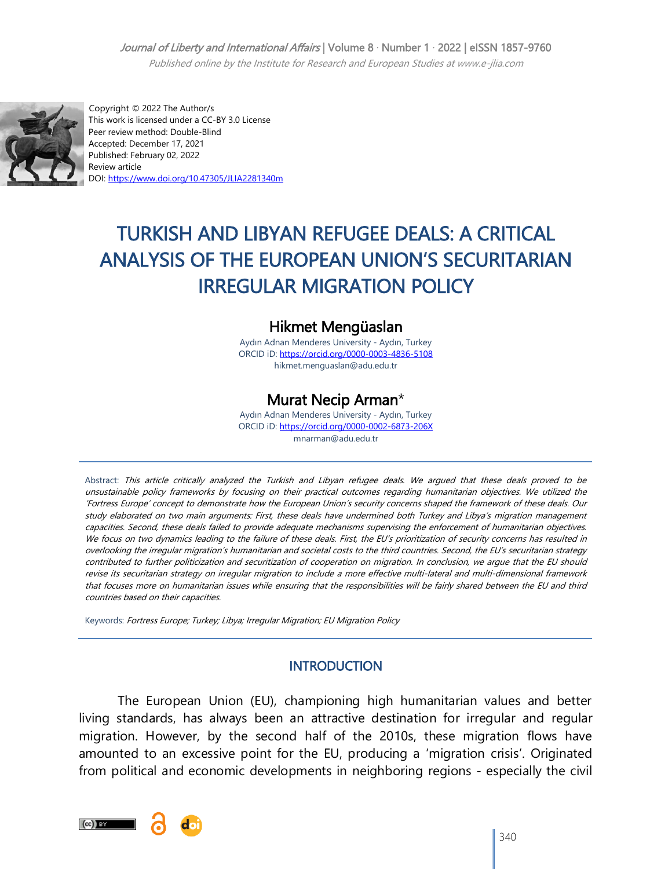## Journal of Liberty and International Affairs | Volume 8 · Number 1 · 2022 | eISSN 1857-9760

Published online by the Institute for Research and European Studies at www.e-jlia.com



 Copyright © 2022 The Author/s This work is licensed under a CC-BY 3.0 License Peer review method: Double-Blind Accepted: December 17, 2021 Published: February 02, 2022 Review article DOI[: https://www.doi.org/10.47305/JLIA2281340m](https://www.doi.org/10.47305/JLIA2281340m)

# TURKISH AND LIBYAN REFUGEE DEALS: A CRITICAL ANALYSIS OF THE EUROPEAN UNION'S SECURITARIAN IRREGULAR MIGRATION POLICY

## Hikmet Mengüaslan

Aydın Adnan Menderes University - Aydın, Turkey ORCID iD: <https://orcid.org/0000-0003-4836-5108> hikmet.menguaslan@adu.edu.tr

## Murat Necip Arman\*

Aydın Adnan Menderes University - Aydın, Turkey ORCID iD: <https://orcid.org/0000-0002-6873-206X> mnarman@adu.edu.tr

Abstract: This article critically analyzed the Turkish and Libyan refugee deals. We argued that these deals proved to be unsustainable policy frameworks by focusing on their practical outcomes regarding humanitarian objectives. We utilized the ‗Fortress Europe' concept to demonstrate how the European Union's security concerns shaped the framework of these deals. Our study elaborated on two main arguments: First, these deals have undermined both Turkey and Libya's migration management capacities. Second, these deals failed to provide adequate mechanisms supervising the enforcement of humanitarian objectives. We focus on two dynamics leading to the failure of these deals. First, the EU's prioritization of security concerns has resulted in overlooking the irregular migration's humanitarian and societal costs to the third countries. Second, the EU's securitarian strategy contributed to further politicization and securitization of cooperation on migration. In conclusion, we argue that the EU should revise its securitarian strategy on irregular migration to include a more effective multi-lateral and multi-dimensional framework that focuses more on humanitarian issues while ensuring that the responsibilities will be fairly shared between the EU and third countries based on their capacities.

Keywords: Fortress Europe; Turkey; Libya; Irregular Migration; EU Migration Policy

## **INTRODUCTION**

The European Union (EU), championing high humanitarian values and better living standards, has always been an attractive destination for irregular and regular migration. However, by the second half of the 2010s, these migration flows have amounted to an excessive point for the EU, producing a 'migration crisis'. Originated from political and economic developments in neighboring regions - especially the civil

 $\left(\mathrm{cc}\right)$  BY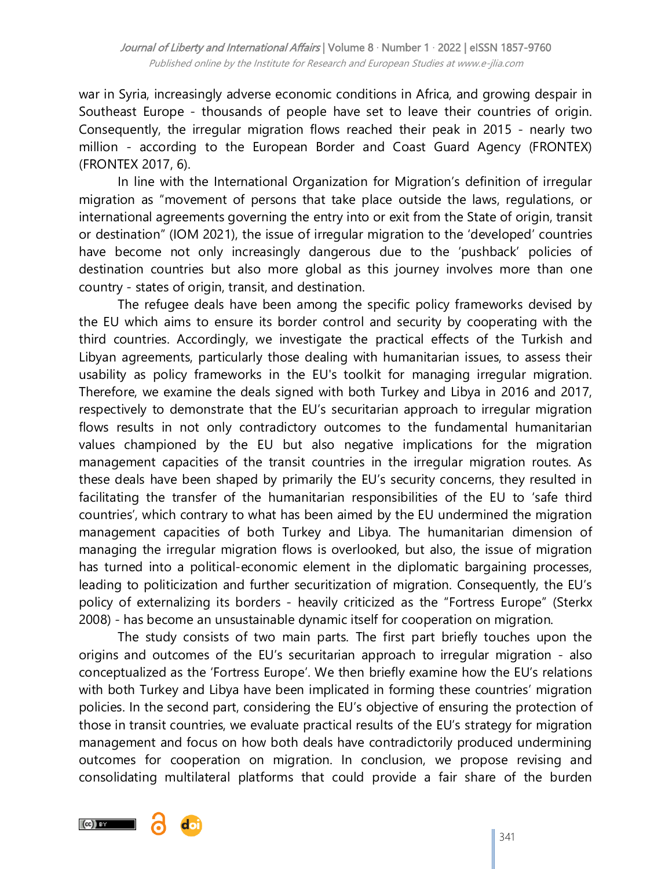war in Syria, increasingly adverse economic conditions in Africa, and growing despair in Southeast Europe - thousands of people have set to leave their countries of origin. Consequently, the irregular migration flows reached their peak in 2015 - nearly two million - according to the European Border and Coast Guard Agency (FRONTEX) (FRONTEX 2017, 6).

In line with the International Organization for Migration's definition of irregular migration as "movement of persons that take place outside the laws, regulations, or international agreements governing the entry into or exit from the State of origin, transit or destination" (IOM 2021), the issue of irregular migration to the 'developed' countries have become not only increasingly dangerous due to the 'pushback' policies of destination countries but also more global as this journey involves more than one country - states of origin, transit, and destination.

The refugee deals have been among the specific policy frameworks devised by the EU which aims to ensure its border control and security by cooperating with the third countries. Accordingly, we investigate the practical effects of the Turkish and Libyan agreements, particularly those dealing with humanitarian issues, to assess their usability as policy frameworks in the EU's toolkit for managing irregular migration. Therefore, we examine the deals signed with both Turkey and Libya in 2016 and 2017, respectively to demonstrate that the EU's securitarian approach to irregular migration flows results in not only contradictory outcomes to the fundamental humanitarian values championed by the EU but also negative implications for the migration management capacities of the transit countries in the irregular migration routes. As these deals have been shaped by primarily the EU's security concerns, they resulted in facilitating the transfer of the humanitarian responsibilities of the EU to 'safe third countries', which contrary to what has been aimed by the EU undermined the migration management capacities of both Turkey and Libya. The humanitarian dimension of managing the irregular migration flows is overlooked, but also, the issue of migration has turned into a political-economic element in the diplomatic bargaining processes, leading to politicization and further securitization of migration. Consequently, the EU's policy of externalizing its borders - heavily criticized as the "Fortress Europe" (Sterkx 2008) - has become an unsustainable dynamic itself for cooperation on migration.

The study consists of two main parts. The first part briefly touches upon the origins and outcomes of the EU's securitarian approach to irregular migration - also conceptualized as the 'Fortress Europe'. We then briefly examine how the EU's relations with both Turkey and Libya have been implicated in forming these countries' migration policies. In the second part, considering the EU's objective of ensuring the protection of those in transit countries, we evaluate practical results of the EU's strategy for migration management and focus on how both deals have contradictorily produced undermining outcomes for cooperation on migration. In conclusion, we propose revising and consolidating multilateral platforms that could provide a fair share of the burden

 $\left(\mathrm{cc}\right)$  by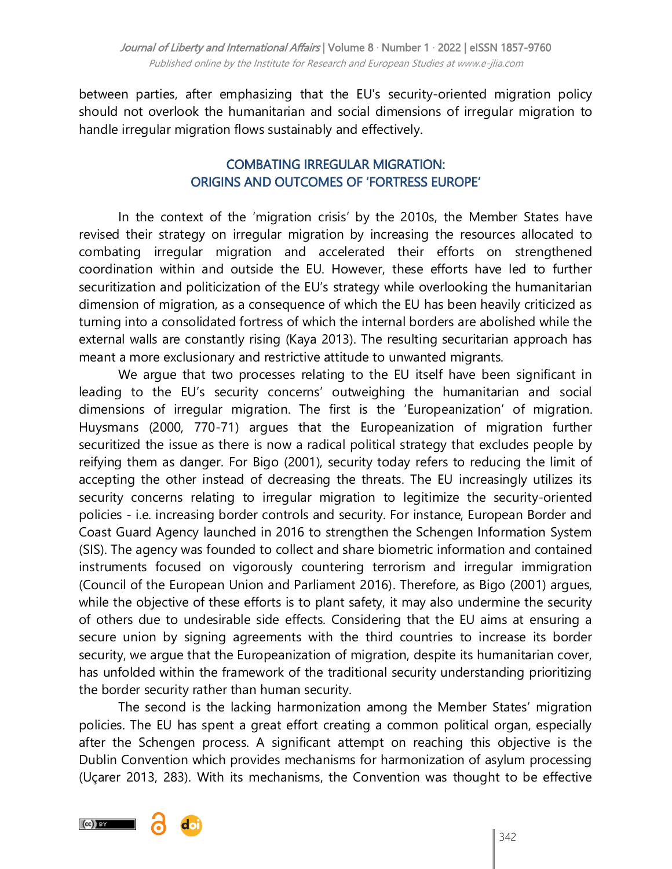between parties, after emphasizing that the EU's security-oriented migration policy should not overlook the humanitarian and social dimensions of irregular migration to handle irregular migration flows sustainably and effectively.

## COMBATING IRREGULAR MIGRATION: ORIGINS AND OUTCOMES OF 'FORTRESS EUROPE'

In the context of the 'migration crisis' by the 2010s, the Member States have revised their strategy on irregular migration by increasing the resources allocated to combating irregular migration and accelerated their efforts on strengthened coordination within and outside the EU. However, these efforts have led to further securitization and politicization of the EU's strategy while overlooking the humanitarian dimension of migration, as a consequence of which the EU has been heavily criticized as turning into a consolidated fortress of which the internal borders are abolished while the external walls are constantly rising (Kaya 2013). The resulting securitarian approach has meant a more exclusionary and restrictive attitude to unwanted migrants.

We argue that two processes relating to the EU itself have been significant in leading to the EU's security concerns' outweighing the humanitarian and social dimensions of irregular migration. The first is the ‗Europeanization' of migration. Huysmans (2000, 770-71) argues that the Europeanization of migration further securitized the issue as there is now a radical political strategy that excludes people by reifying them as danger. For Bigo (2001), security today refers to reducing the limit of accepting the other instead of decreasing the threats. The EU increasingly utilizes its security concerns relating to irregular migration to legitimize the security-oriented policies - i.e. increasing border controls and security. For instance, European Border and Coast Guard Agency launched in 2016 to strengthen the Schengen Information System (SIS). The agency was founded to collect and share biometric information and contained instruments focused on vigorously countering terrorism and irregular immigration (Council of the European Union and Parliament 2016). Therefore, as Bigo (2001) argues, while the objective of these efforts is to plant safety, it may also undermine the security of others due to undesirable side effects. Considering that the EU aims at ensuring a secure union by signing agreements with the third countries to increase its border security, we argue that the Europeanization of migration, despite its humanitarian cover, has unfolded within the framework of the traditional security understanding prioritizing the border security rather than human security.

The second is the lacking harmonization among the Member States' migration policies. The EU has spent a great effort creating a common political organ, especially after the Schengen process. A significant attempt on reaching this objective is the Dublin Convention which provides mechanisms for harmonization of asylum processing (Uçarer 2013, 283). With its mechanisms, the Convention was thought to be effective

 $(cc)$ ) BY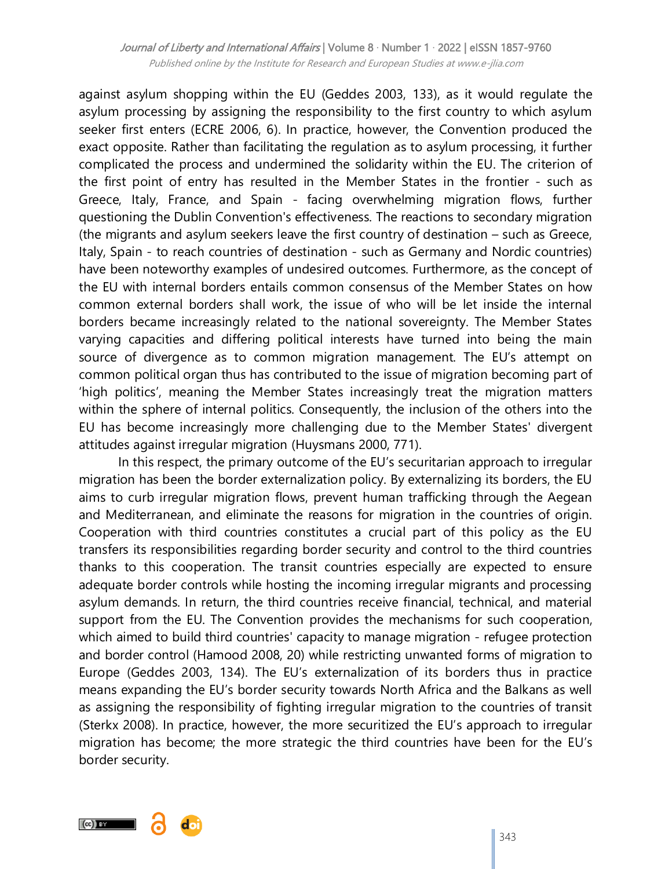against asylum shopping within the EU (Geddes 2003, 133), as it would regulate the asylum processing by assigning the responsibility to the first country to which asylum seeker first enters (ECRE 2006, 6). In practice, however, the Convention produced the exact opposite. Rather than facilitating the regulation as to asylum processing, it further complicated the process and undermined the solidarity within the EU. The criterion of the first point of entry has resulted in the Member States in the frontier - such as Greece, Italy, France, and Spain - facing overwhelming migration flows, further questioning the Dublin Convention's effectiveness. The reactions to secondary migration (the migrants and asylum seekers leave the first country of destination – such as Greece, Italy, Spain - to reach countries of destination - such as Germany and Nordic countries) have been noteworthy examples of undesired outcomes. Furthermore, as the concept of the EU with internal borders entails common consensus of the Member States on how common external borders shall work, the issue of who will be let inside the internal borders became increasingly related to the national sovereignty. The Member States varying capacities and differing political interests have turned into being the main source of divergence as to common migration management. The EU's attempt on common political organ thus has contributed to the issue of migration becoming part of ‗high politics', meaning the Member States increasingly treat the migration matters within the sphere of internal politics. Consequently, the inclusion of the others into the EU has become increasingly more challenging due to the Member States' divergent attitudes against irregular migration (Huysmans 2000, 771).

In this respect, the primary outcome of the EU's securitarian approach to irregular migration has been the border externalization policy. By externalizing its borders, the EU aims to curb irregular migration flows, prevent human trafficking through the Aegean and Mediterranean, and eliminate the reasons for migration in the countries of origin. Cooperation with third countries constitutes a crucial part of this policy as the EU transfers its responsibilities regarding border security and control to the third countries thanks to this cooperation. The transit countries especially are expected to ensure adequate border controls while hosting the incoming irregular migrants and processing asylum demands. In return, the third countries receive financial, technical, and material support from the EU. The Convention provides the mechanisms for such cooperation, which aimed to build third countries' capacity to manage migration - refugee protection and border control (Hamood 2008, 20) while restricting unwanted forms of migration to Europe (Geddes 2003, 134). The EU's externalization of its borders thus in practice means expanding the EU's border security towards North Africa and the Balkans as well as assigning the responsibility of fighting irregular migration to the countries of transit (Sterkx 2008). In practice, however, the more securitized the EU's approach to irregular migration has become; the more strategic the third countries have been for the EU's border security.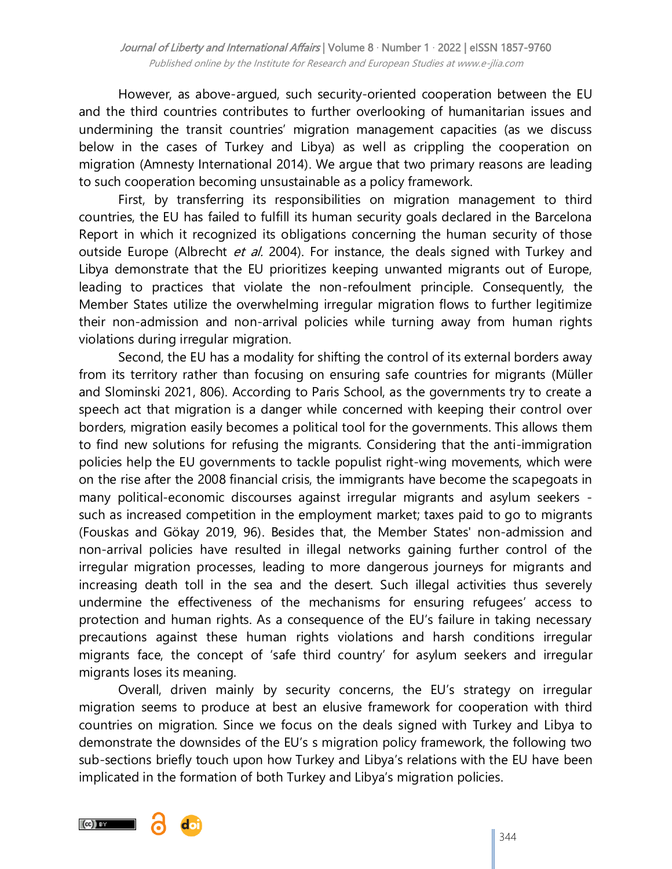However, as above-argued, such security-oriented cooperation between the EU and the third countries contributes to further overlooking of humanitarian issues and undermining the transit countries' migration management capacities (as we discuss below in the cases of Turkey and Libya) as well as crippling the cooperation on migration (Amnesty International 2014). We argue that two primary reasons are leading to such cooperation becoming unsustainable as a policy framework.

First, by transferring its responsibilities on migration management to third countries, the EU has failed to fulfill its human security goals declared in the Barcelona Report in which it recognized its obligations concerning the human security of those outside Europe (Albrecht et al. 2004). For instance, the deals signed with Turkey and Libya demonstrate that the EU prioritizes keeping unwanted migrants out of Europe, leading to practices that violate the non-refoulment principle. Consequently, the Member States utilize the overwhelming irregular migration flows to further legitimize their non-admission and non-arrival policies while turning away from human rights violations during irregular migration.

Second, the EU has a modality for shifting the control of its external borders away from its territory rather than focusing on ensuring safe countries for migrants (Müller and Slominski 2021, 806). According to Paris School, as the governments try to create a speech act that migration is a danger while concerned with keeping their control over borders, migration easily becomes a political tool for the governments. This allows them to find new solutions for refusing the migrants. Considering that the anti-immigration policies help the EU governments to tackle populist right-wing movements, which were on the rise after the 2008 financial crisis, the immigrants have become the scapegoats in many political-economic discourses against irregular migrants and asylum seekers such as increased competition in the employment market; taxes paid to go to migrants (Fouskas and Gökay 2019, 96). Besides that, the Member States' non-admission and non-arrival policies have resulted in illegal networks gaining further control of the irregular migration processes, leading to more dangerous journeys for migrants and increasing death toll in the sea and the desert. Such illegal activities thus severely undermine the effectiveness of the mechanisms for ensuring refugees' access to protection and human rights. As a consequence of the EU's failure in taking necessary precautions against these human rights violations and harsh conditions irregular migrants face, the concept of 'safe third country' for asylum seekers and irregular migrants loses its meaning.

Overall, driven mainly by security concerns, the EU's strategy on irregular migration seems to produce at best an elusive framework for cooperation with third countries on migration. Since we focus on the deals signed with Turkey and Libya to demonstrate the downsides of the EU's s migration policy framework, the following two sub-sections briefly touch upon how Turkey and Libya's relations with the EU have been implicated in the formation of both Turkey and Libya's migration policies.

 $(cc)$  BY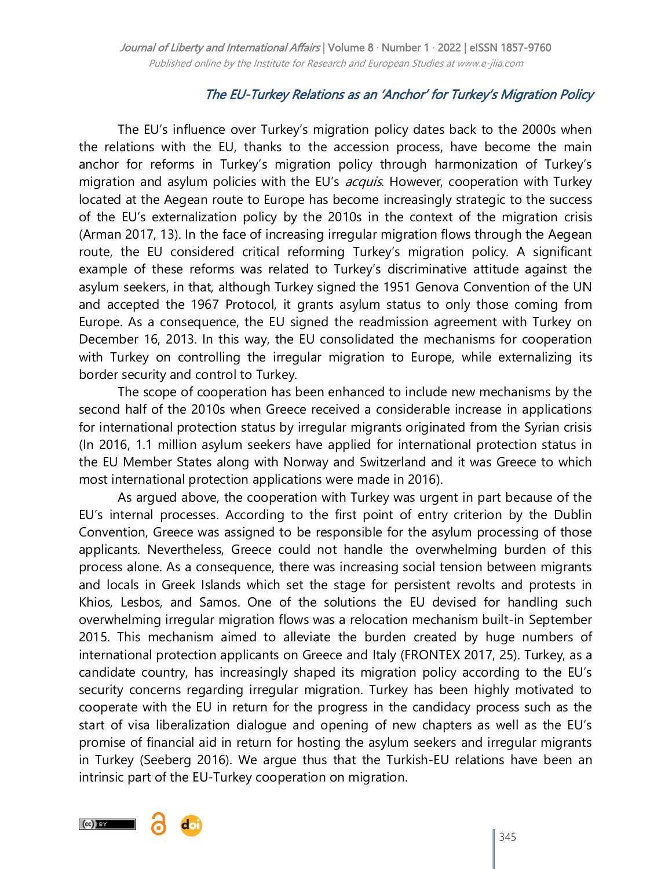## The EU-Turkey Relations as an ‗Anchor' for Turkey's Migration Policy

The EU's influence over Turkey's migration policy dates back to the 2000s when the relations with the EU, thanks to the accession process, have become the main anchor for reforms in Turkey's migration policy through harmonization of Turkey's migration and asylum policies with the EU's *acquis*. However, cooperation with Turkey located at the Aegean route to Europe has become increasingly strategic to the success of the EU's externalization policy by the 2010s in the context of the migration crisis (Arman 2017, 13). In the face of increasing irregular migration flows through the Aegean route, the EU considered critical reforming Turkey's migration policy. A significant example of these reforms was related to Turkey's discriminative attitude against the asylum seekers, in that, although Turkey signed the 1951 Genova Convention of the UN and accepted the 1967 Protocol, it grants asylum status to only those coming from Europe. As a consequence, the EU signed the readmission agreement with Turkey on December 16, 2013. In this way, the EU consolidated the mechanisms for cooperation with Turkey on controlling the irregular migration to Europe, while externalizing its border security and control to Turkey.

The scope of cooperation has been enhanced to include new mechanisms by the second half of the 2010s when Greece received a considerable increase in applications for international protection status by irregular migrants originated from the Syrian crisis (In 2016, 1.1 million asylum seekers have applied for international protection status in the EU Member States along with Norway and Switzerland and it was Greece to which most international protection applications were made in 2016).

As argued above, the cooperation with Turkey was urgent in part because of the EU's internal processes. According to the first point of entry criterion by the Dublin Convention, Greece was assigned to be responsible for the asylum processing of those applicants. Nevertheless, Greece could not handle the overwhelming burden of this process alone. As a consequence, there was increasing social tension between migrants and locals in Greek Islands which set the stage for persistent revolts and protests in Khios, Lesbos, and Samos. One of the solutions the EU devised for handling such overwhelming irregular migration flows was a relocation mechanism built-in September 2015. This mechanism aimed to alleviate the burden created by huge numbers of international protection applicants on Greece and Italy (FRONTEX 2017, 25). Turkey, as a candidate country, has increasingly shaped its migration policy according to the EU's security concerns regarding irregular migration. Turkey has been highly motivated to cooperate with the EU in return for the progress in the candidacy process such as the start of visa liberalization dialogue and opening of new chapters as well as the EU's promise of financial aid in return for hosting the asylum seekers and irregular migrants in Turkey (Seeberg 2016). We argue thus that the Turkish-EU relations have been an intrinsic part of the EU-Turkey cooperation on migration.

 $(cc)$  by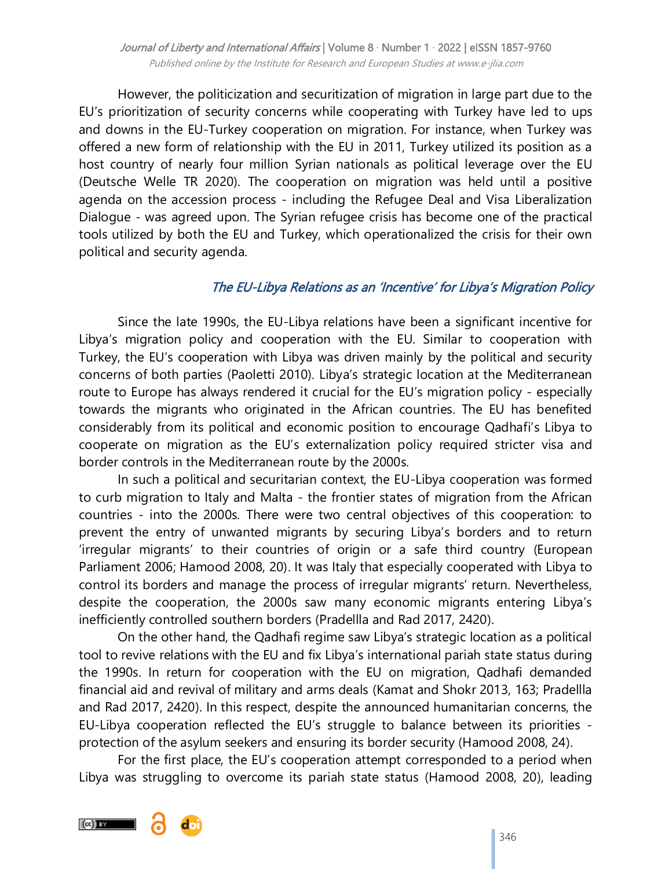However, the politicization and securitization of migration in large part due to the EU's prioritization of security concerns while cooperating with Turkey have led to ups and downs in the EU-Turkey cooperation on migration. For instance, when Turkey was offered a new form of relationship with the EU in 2011, Turkey utilized its position as a host country of nearly four million Syrian nationals as political leverage over the EU (Deutsche Welle TR 2020). The cooperation on migration was held until a positive agenda on the accession process - including the Refugee Deal and Visa Liberalization Dialogue - was agreed upon. The Syrian refugee crisis has become one of the practical tools utilized by both the EU and Turkey, which operationalized the crisis for their own political and security agenda.

## The EU-Libya Relations as an 'Incentive' for Libya's Migration Policy

Since the late 1990s, the EU-Libya relations have been a significant incentive for Libya's migration policy and cooperation with the EU. Similar to cooperation with Turkey, the EU's cooperation with Libya was driven mainly by the political and security concerns of both parties (Paoletti 2010). Libya's strategic location at the Mediterranean route to Europe has always rendered it crucial for the EU's migration policy - especially towards the migrants who originated in the African countries. The EU has benefited considerably from its political and economic position to encourage Qadhafi's Libya to cooperate on migration as the EU's externalization policy required stricter visa and border controls in the Mediterranean route by the 2000s.

In such a political and securitarian context, the EU-Libya cooperation was formed to curb migration to Italy and Malta - the frontier states of migration from the African countries - into the 2000s. There were two central objectives of this cooperation: to prevent the entry of unwanted migrants by securing Libya's borders and to return ‗irregular migrants' to their countries of origin or a safe third country (European Parliament 2006; Hamood 2008, 20). It was Italy that especially cooperated with Libya to control its borders and manage the process of irregular migrants' return. Nevertheless, despite the cooperation, the 2000s saw many economic migrants entering Libya's inefficiently controlled southern borders (Pradellla and Rad 2017, 2420).

On the other hand, the Qadhafi regime saw Libya's strategic location as a political tool to revive relations with the EU and fix Libya's international pariah state status during the 1990s. In return for cooperation with the EU on migration, Qadhafi demanded financial aid and revival of military and arms deals (Kamat and Shokr 2013, 163; Pradellla and Rad 2017, 2420). In this respect, despite the announced humanitarian concerns, the EU-Libya cooperation reflected the EU's struggle to balance between its priorities protection of the asylum seekers and ensuring its border security (Hamood 2008, 24).

For the first place, the EU's cooperation attempt corresponded to a period when Libya was struggling to overcome its pariah state status (Hamood 2008, 20), leading

 $(cc)$  by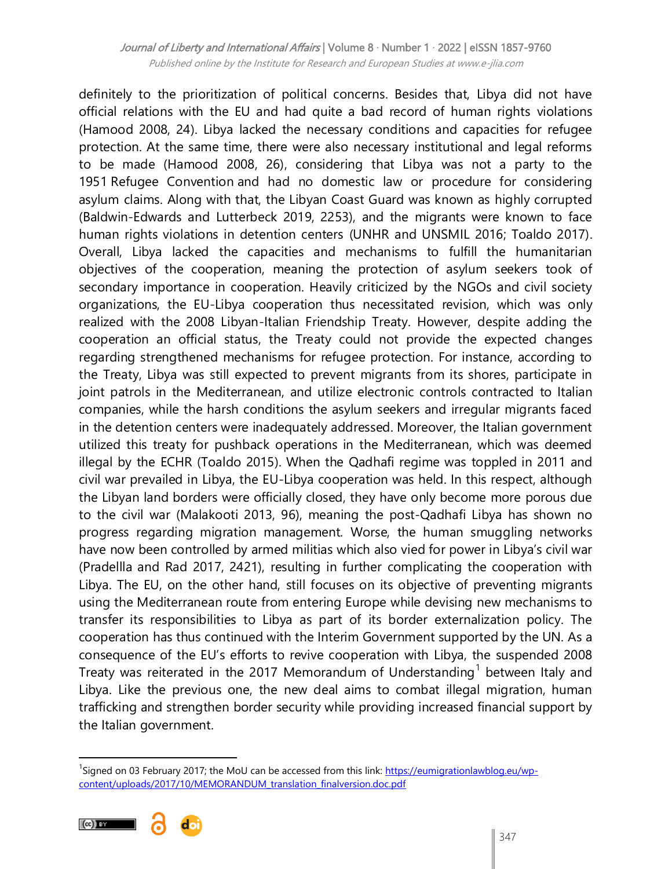definitely to the prioritization of political concerns. Besides that, Libya did not have official relations with the EU and had quite a bad record of human rights violations (Hamood 2008, 24). Libya lacked the necessary conditions and capacities for refugee protection. At the same time, there were also necessary institutional and legal reforms to be made (Hamood 2008, 26), considering that Libya was not a party to the 1951 Refugee Convention and had no domestic law or procedure for considering asylum claims. Along with that, the Libyan Coast Guard was known as highly corrupted (Baldwin-Edwards and Lutterbeck 2019, 2253), and the migrants were known to face human rights violations in detention centers (UNHR and UNSMIL 2016; Toaldo 2017). Overall, Libya lacked the capacities and mechanisms to fulfill the humanitarian objectives of the cooperation, meaning the protection of asylum seekers took of secondary importance in cooperation. Heavily criticized by the NGOs and civil society organizations, the EU-Libya cooperation thus necessitated revision, which was only realized with the 2008 Libyan-Italian Friendship Treaty. However, despite adding the cooperation an official status, the Treaty could not provide the expected changes regarding strengthened mechanisms for refugee protection. For instance, according to the Treaty, Libya was still expected to prevent migrants from its shores, participate in joint patrols in the Mediterranean, and utilize electronic controls contracted to Italian companies, while the harsh conditions the asylum seekers and irregular migrants faced in the detention centers were inadequately addressed. Moreover, the Italian government utilized this treaty for pushback operations in the Mediterranean, which was deemed illegal by the ECHR (Toaldo 2015). When the Qadhafi regime was toppled in 2011 and civil war prevailed in Libya, the EU-Libya cooperation was held. In this respect, although the Libyan land borders were officially closed, they have only become more porous due to the civil war (Malakooti 2013, 96), meaning the post-Qadhafi Libya has shown no progress regarding migration management. Worse, the human smuggling networks have now been controlled by armed militias which also vied for power in Libya's civil war (Pradellla and Rad 2017, 2421), resulting in further complicating the cooperation with Libya. The EU, on the other hand, still focuses on its objective of preventing migrants using the Mediterranean route from entering Europe while devising new mechanisms to transfer its responsibilities to Libya as part of its border externalization policy. The cooperation has thus continued with the Interim Government supported by the UN. As a consequence of the EU's efforts to revive cooperation with Libya, the suspended 2008 Treaty was reiterated in the 2017 Memorandum of Understanding<sup>1</sup> between Italy and Libya. Like the previous one, the new deal aims to combat illegal migration, human trafficking and strengthen border security while providing increased financial support by the Italian government.

<sup>&</sup>lt;sup>1</sup>Signed on 03 February 2017; the MoU can be accessed from this link: [https://eumigrationlawblog.eu/wp](https://eumigrationlawblog.eu/wp-content/uploads/2017/10/MEMORANDUM_translation_finalversion.doc.pdf)[content/uploads/2017/10/MEMORANDUM\\_translation\\_finalversion.doc.pdf](https://eumigrationlawblog.eu/wp-content/uploads/2017/10/MEMORANDUM_translation_finalversion.doc.pdf)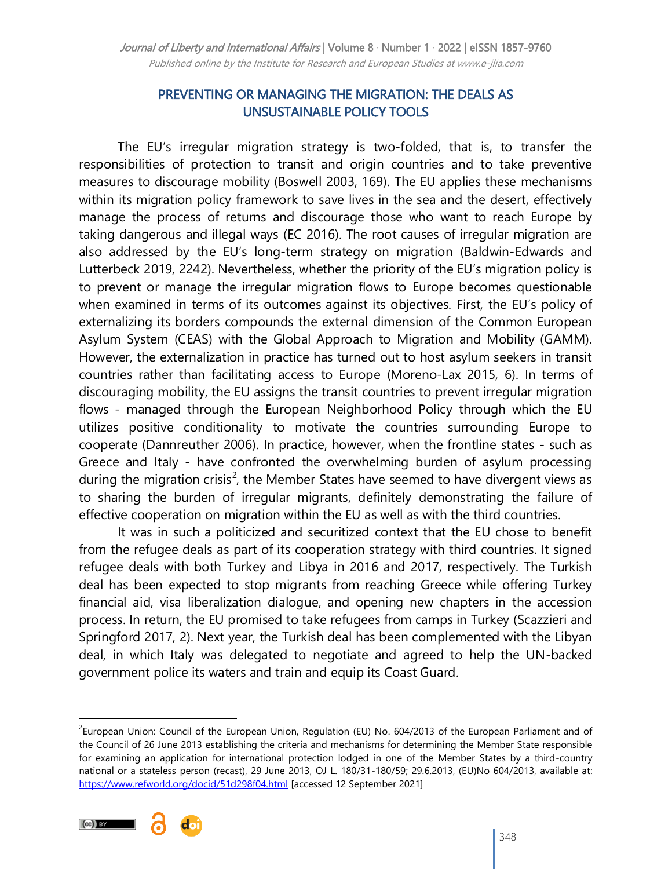## PREVENTING OR MANAGING THE MIGRATION: THE DEALS AS UNSUSTAINABLE POLICY TOOLS

The EU's irregular migration strategy is two-folded, that is, to transfer the responsibilities of protection to transit and origin countries and to take preventive measures to discourage mobility (Boswell 2003, 169). The EU applies these mechanisms within its migration policy framework to save lives in the sea and the desert, effectively manage the process of returns and discourage those who want to reach Europe by taking dangerous and illegal ways (EC 2016). The root causes of irregular migration are also addressed by the EU's long-term strategy on migration (Baldwin-Edwards and Lutterbeck 2019, 2242). Nevertheless, whether the priority of the EU's migration policy is to prevent or manage the irregular migration flows to Europe becomes questionable when examined in terms of its outcomes against its objectives. First, the EU's policy of externalizing its borders compounds the external dimension of the Common European Asylum System (CEAS) with the Global Approach to Migration and Mobility (GAMM). However, the externalization in practice has turned out to host asylum seekers in transit countries rather than facilitating access to Europe (Moreno-Lax 2015, 6). In terms of discouraging mobility, the EU assigns the transit countries to prevent irregular migration flows - managed through the European Neighborhood Policy through which the EU utilizes positive conditionality to motivate the countries surrounding Europe to cooperate (Dannreuther 2006). In practice, however, when the frontline states - such as Greece and Italy - have confronted the overwhelming burden of asylum processing during the migration crisis<sup>2</sup>, the Member States have seemed to have divergent views as to sharing the burden of irregular migrants, definitely demonstrating the failure of effective cooperation on migration within the EU as well as with the third countries.

It was in such a politicized and securitized context that the EU chose to benefit from the refugee deals as part of its cooperation strategy with third countries. It signed refugee deals with both Turkey and Libya in 2016 and 2017, respectively. The Turkish deal has been expected to stop migrants from reaching Greece while offering Turkey financial aid, visa liberalization dialogue, and opening new chapters in the accession process. In return, the EU promised to take refugees from camps in Turkey (Scazzieri and Springford 2017, 2). Next year, the Turkish deal has been complemented with the Libyan deal, in which Italy was delegated to negotiate and agreed to help the UN-backed government police its waters and train and equip its Coast Guard.

<sup>&</sup>lt;sup>2</sup>European Union: Council of the European Union, Regulation (EU) No. 604/2013 of the European Parliament and of the Council of 26 June 2013 establishing the criteria and mechanisms for determining the Member State responsible for examining an application for international protection lodged in one of the Member States by a third-country national or a stateless person (recast), 29 June 2013, OJ L. 180/31-180/59; 29.6.2013, (EU)No 604/2013, available at: <https://www.refworld.org/docid/51d298f04.html> [accessed 12 September 2021]

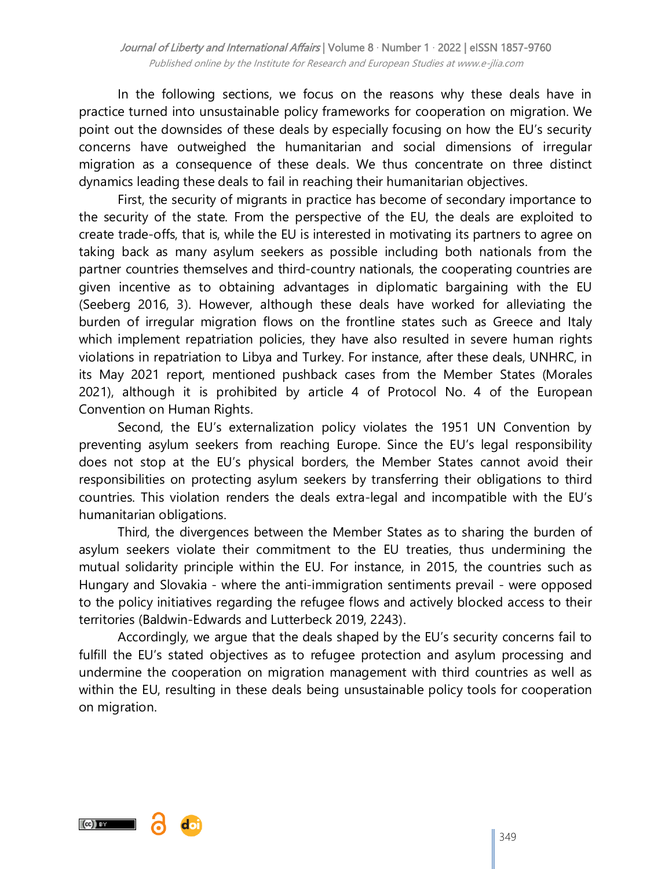In the following sections, we focus on the reasons why these deals have in practice turned into unsustainable policy frameworks for cooperation on migration. We point out the downsides of these deals by especially focusing on how the EU's security concerns have outweighed the humanitarian and social dimensions of irregular migration as a consequence of these deals. We thus concentrate on three distinct dynamics leading these deals to fail in reaching their humanitarian objectives.

First, the security of migrants in practice has become of secondary importance to the security of the state. From the perspective of the EU, the deals are exploited to create trade-offs, that is, while the EU is interested in motivating its partners to agree on taking back as many asylum seekers as possible including both nationals from the partner countries themselves and third-country nationals, the cooperating countries are given incentive as to obtaining advantages in diplomatic bargaining with the EU (Seeberg 2016, 3). However, although these deals have worked for alleviating the burden of irregular migration flows on the frontline states such as Greece and Italy which implement repatriation policies, they have also resulted in severe human rights violations in repatriation to Libya and Turkey. For instance, after these deals, UNHRC, in its May 2021 report, mentioned pushback cases from the Member States (Morales 2021), although it is prohibited by article 4 of Protocol No. 4 of the European Convention on Human Rights.

Second, the EU's externalization policy violates the 1951 UN Convention by preventing asylum seekers from reaching Europe. Since the EU's legal responsibility does not stop at the EU's physical borders, the Member States cannot avoid their responsibilities on protecting asylum seekers by transferring their obligations to third countries. This violation renders the deals extra-legal and incompatible with the EU's humanitarian obligations.

Third, the divergences between the Member States as to sharing the burden of asylum seekers violate their commitment to the EU treaties, thus undermining the mutual solidarity principle within the EU. For instance, in 2015, the countries such as Hungary and Slovakia - where the anti-immigration sentiments prevail - were opposed to the policy initiatives regarding the refugee flows and actively blocked access to their territories (Baldwin-Edwards and Lutterbeck 2019, 2243).

Accordingly, we argue that the deals shaped by the EU's security concerns fail to fulfill the EU's stated objectives as to refugee protection and asylum processing and undermine the cooperation on migration management with third countries as well as within the EU, resulting in these deals being unsustainable policy tools for cooperation on migration.



349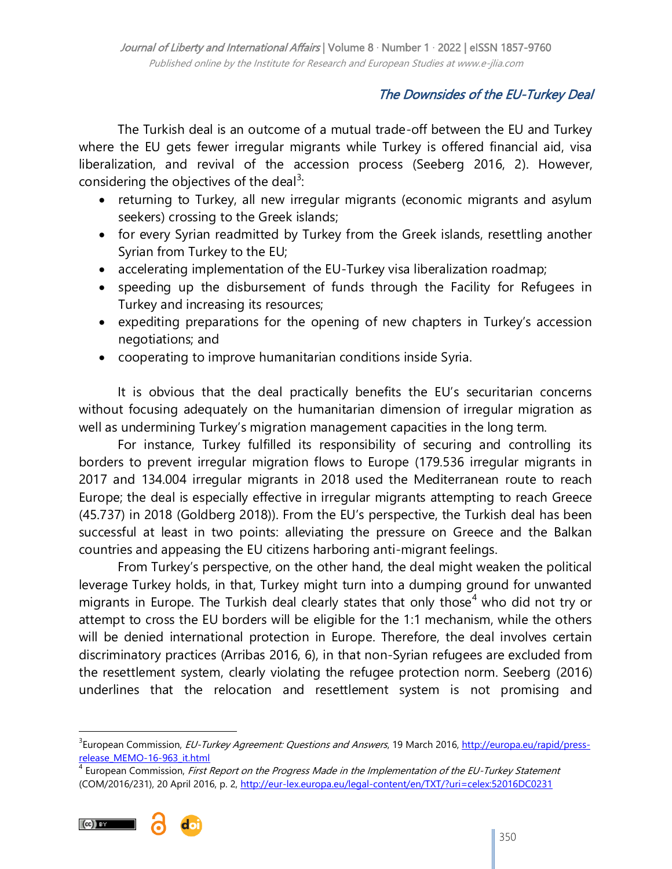# The Downsides of the EU-Turkey Deal

The Turkish deal is an outcome of a mutual trade-off between the EU and Turkey where the EU gets fewer irregular migrants while Turkey is offered financial aid, visa liberalization, and revival of the accession process (Seeberg 2016, 2). However, considering the objectives of the deal<sup>3</sup>:

- returning to Turkey, all new irregular migrants (economic migrants and asylum seekers) crossing to the Greek islands;
- for every Syrian readmitted by Turkey from the Greek islands, resettling another Syrian from Turkey to the EU;
- accelerating implementation of the EU-Turkey visa liberalization roadmap;
- speeding up the disbursement of funds through the Facility for Refugees in Turkey and increasing its resources;
- expediting preparations for the opening of new chapters in Turkey's accession negotiations; and
- cooperating to improve humanitarian conditions inside Syria.

It is obvious that the deal practically benefits the EU's securitarian concerns without focusing adequately on the humanitarian dimension of irregular migration as well as undermining Turkey's migration management capacities in the long term.

For instance, Turkey fulfilled its responsibility of securing and controlling its borders to prevent irregular migration flows to Europe (179.536 irregular migrants in 2017 and 134.004 irregular migrants in 2018 used the Mediterranean route to reach Europe; the deal is especially effective in irregular migrants attempting to reach Greece (45.737) in 2018 (Goldberg 2018)). From the EU's perspective, the Turkish deal has been successful at least in two points: alleviating the pressure on Greece and the Balkan countries and appeasing the EU citizens harboring anti-migrant feelings.

From Turkey's perspective, on the other hand, the deal might weaken the political leverage Turkey holds, in that, Turkey might turn into a dumping ground for unwanted migrants in Europe. The Turkish deal clearly states that only those<sup>4</sup> who did not try or attempt to cross the EU borders will be eligible for the 1:1 mechanism, while the others will be denied international protection in Europe. Therefore, the deal involves certain discriminatory practices (Arribas 2016, 6), in that non-Syrian refugees are excluded from the resettlement system, clearly violating the refugee protection norm. Seeberg (2016) underlines that the relocation and resettlement system is not promising and



<sup>&</sup>lt;sup>3</sup>European Commission, *EU-Turkey Agreement: Questions and Answers*, 19 March 2016, <u>http://europa.eu/rapid/press-</u> [release\\_MEMO-16-963\\_it.html](http://europa.eu/rapid/press-release_MEMO-16-963_it.html)

<sup>&</sup>lt;sup>4</sup> European Commission, *First Report on the Progress Made in the Implementation of the EU-Turkey Statement* (COM/2016/231), 20 April 2016, p. 2,<http://eur-lex.europa.eu/legal-content/en/TXT/?uri=celex:52016DC0231>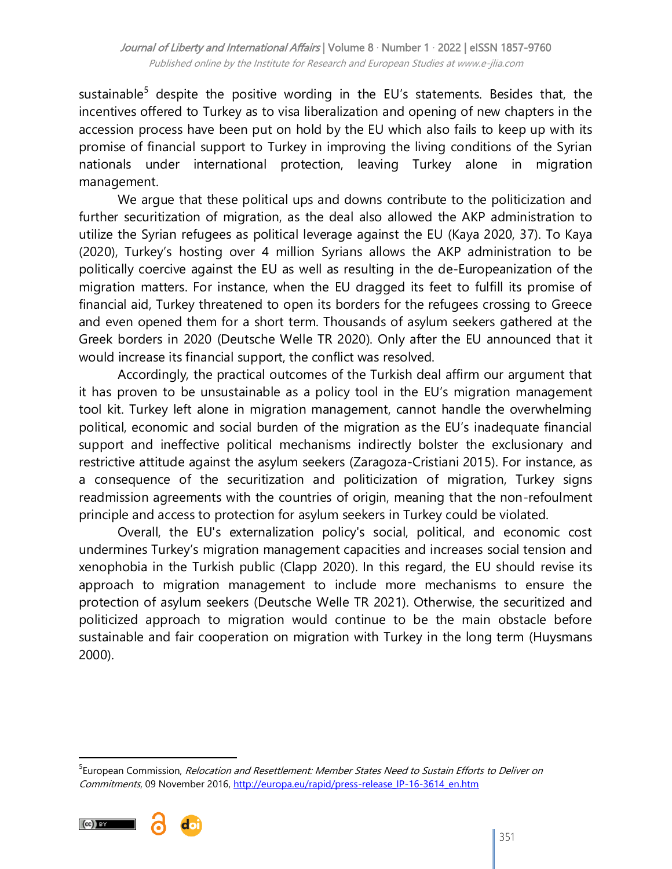sustainable<sup>5</sup> despite the positive wording in the EU's statements. Besides that, the incentives offered to Turkey as to visa liberalization and opening of new chapters in the accession process have been put on hold by the EU which also fails to keep up with its promise of financial support to Turkey in improving the living conditions of the Syrian nationals under international protection, leaving Turkey alone in migration management.

We argue that these political ups and downs contribute to the politicization and further securitization of migration, as the deal also allowed the AKP administration to utilize the Syrian refugees as political leverage against the EU (Kaya 2020, 37). To Kaya (2020), Turkey's hosting over 4 million Syrians allows the AKP administration to be politically coercive against the EU as well as resulting in the de-Europeanization of the migration matters. For instance, when the EU dragged its feet to fulfill its promise of financial aid, Turkey threatened to open its borders for the refugees crossing to Greece and even opened them for a short term. Thousands of asylum seekers gathered at the Greek borders in 2020 (Deutsche Welle TR 2020). Only after the EU announced that it would increase its financial support, the conflict was resolved.

Accordingly, the practical outcomes of the Turkish deal affirm our argument that it has proven to be unsustainable as a policy tool in the EU's migration management tool kit. Turkey left alone in migration management, cannot handle the overwhelming political, economic and social burden of the migration as the EU's inadequate financial support and ineffective political mechanisms indirectly bolster the exclusionary and restrictive attitude against the asylum seekers (Zaragoza-Cristiani 2015). For instance, as a consequence of the securitization and politicization of migration, Turkey signs readmission agreements with the countries of origin, meaning that the non-refoulment principle and access to protection for asylum seekers in Turkey could be violated.

Overall, the EU's externalization policy's social, political, and economic cost undermines Turkey's migration management capacities and increases social tension and xenophobia in the Turkish public (Clapp 2020). In this regard, the EU should revise its approach to migration management to include more mechanisms to ensure the protection of asylum seekers (Deutsche Welle TR 2021). Otherwise, the securitized and politicized approach to migration would continue to be the main obstacle before sustainable and fair cooperation on migration with Turkey in the long term (Huysmans 2000).

<sup>&</sup>lt;sup>5</sup>European Commission, *Relocation and Resettlement: Member States Need to Sustain Efforts to Deliver on* Commitments, 09 November 2016, [http://europa.eu/rapid/press-release\\_IP-16-3614\\_en.htm](http://europa.eu/rapid/press-release_IP-16-3614_en.htm)



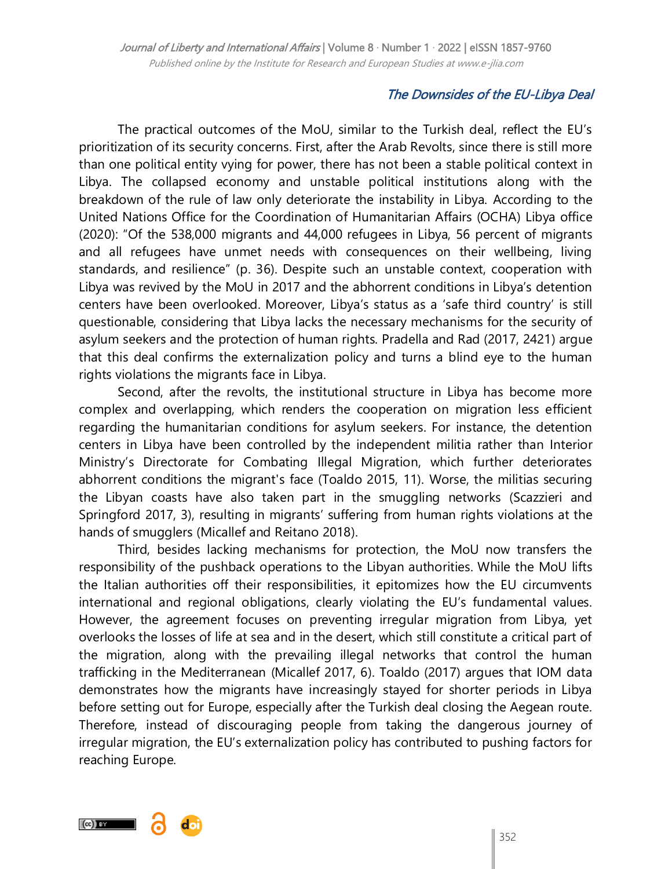## The Downsides of the EU-Libya Deal

The practical outcomes of the MoU, similar to the Turkish deal, reflect the EU's prioritization of its security concerns. First, after the Arab Revolts, since there is still more than one political entity vying for power, there has not been a stable political context in Libya. The collapsed economy and unstable political institutions along with the breakdown of the rule of law only deteriorate the instability in Libya. According to the United Nations Office for the Coordination of Humanitarian Affairs (OCHA) Libya office (2020): "Of the 538,000 migrants and 44,000 refugees in Libya, 56 percent of migrants and all refugees have unmet needs with consequences on their wellbeing, living standards, and resilience" (p. 36). Despite such an unstable context, cooperation with Libya was revived by the MoU in 2017 and the abhorrent conditions in Libya's detention centers have been overlooked. Moreover, Libya's status as a 'safe third country' is still questionable, considering that Libya lacks the necessary mechanisms for the security of asylum seekers and the protection of human rights. Pradella and Rad (2017, 2421) argue that this deal confirms the externalization policy and turns a blind eye to the human rights violations the migrants face in Libya.

Second, after the revolts, the institutional structure in Libya has become more complex and overlapping, which renders the cooperation on migration less efficient regarding the humanitarian conditions for asylum seekers. For instance, the detention centers in Libya have been controlled by the independent militia rather than Interior Ministry's Directorate for Combating Illegal Migration, which further deteriorates abhorrent conditions the migrant's face (Toaldo 2015, 11). Worse, the militias securing the Libyan coasts have also taken part in the smuggling networks (Scazzieri and Springford 2017, 3), resulting in migrants' suffering from human rights violations at the hands of smugglers (Micallef and Reitano 2018).

Third, besides lacking mechanisms for protection, the MoU now transfers the responsibility of the pushback operations to the Libyan authorities. While the MoU lifts the Italian authorities off their responsibilities, it epitomizes how the EU circumvents international and regional obligations, clearly violating the EU's fundamental values. However, the agreement focuses on preventing irregular migration from Libya, yet overlooks the losses of life at sea and in the desert, which still constitute a critical part of the migration, along with the prevailing illegal networks that control the human trafficking in the Mediterranean (Micallef 2017, 6). Toaldo (2017) argues that IOM data demonstrates how the migrants have increasingly stayed for shorter periods in Libya before setting out for Europe, especially after the Turkish deal closing the Aegean route. Therefore, instead of discouraging people from taking the dangerous journey of irregular migration, the EU's externalization policy has contributed to pushing factors for reaching Europe.

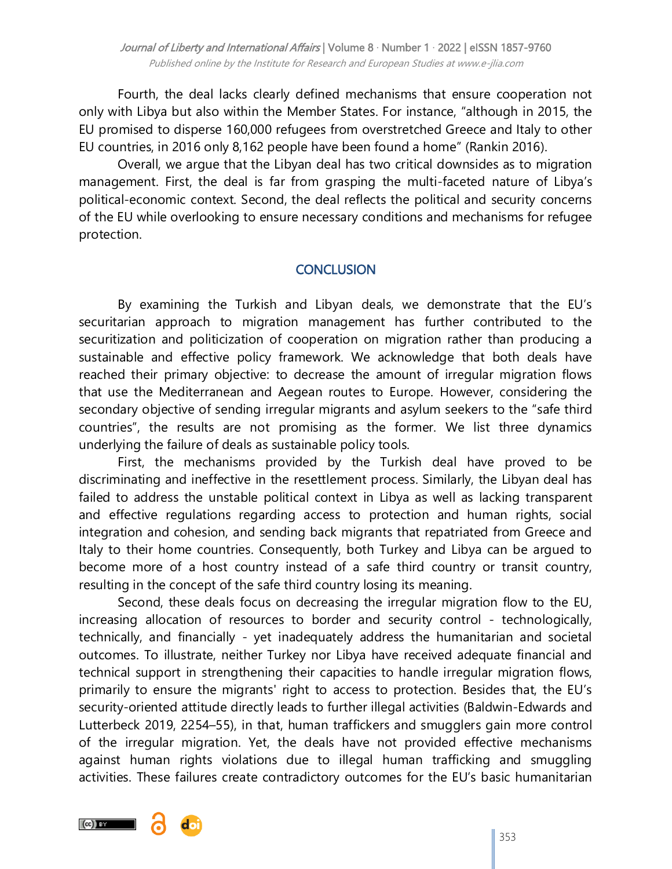Fourth, the deal lacks clearly defined mechanisms that ensure cooperation not only with Libya but also within the Member States. For instance, "although in 2015, the EU promised to disperse 160,000 refugees from overstretched Greece and Italy to other EU countries, in 2016 only 8,162 people have been found a home" (Rankin 2016).

Overall, we argue that the Libyan deal has two critical downsides as to migration management. First, the deal is far from grasping the multi-faceted nature of Libya's political-economic context. Second, the deal reflects the political and security concerns of the EU while overlooking to ensure necessary conditions and mechanisms for refugee protection.

## **CONCLUSION**

By examining the Turkish and Libyan deals, we demonstrate that the EU's securitarian approach to migration management has further contributed to the securitization and politicization of cooperation on migration rather than producing a sustainable and effective policy framework. We acknowledge that both deals have reached their primary objective: to decrease the amount of irregular migration flows that use the Mediterranean and Aegean routes to Europe. However, considering the secondary objective of sending irregular migrants and asylum seekers to the "safe third countries‖, the results are not promising as the former. We list three dynamics underlying the failure of deals as sustainable policy tools.

First, the mechanisms provided by the Turkish deal have proved to be discriminating and ineffective in the resettlement process. Similarly, the Libyan deal has failed to address the unstable political context in Libya as well as lacking transparent and effective regulations regarding access to protection and human rights, social integration and cohesion, and sending back migrants that repatriated from Greece and Italy to their home countries. Consequently, both Turkey and Libya can be argued to become more of a host country instead of a safe third country or transit country, resulting in the concept of the safe third country losing its meaning.

Second, these deals focus on decreasing the irregular migration flow to the EU, increasing allocation of resources to border and security control - technologically, technically, and financially - yet inadequately address the humanitarian and societal outcomes. To illustrate, neither Turkey nor Libya have received adequate financial and technical support in strengthening their capacities to handle irregular migration flows, primarily to ensure the migrants' right to access to protection. Besides that, the EU's security-oriented attitude directly leads to further illegal activities (Baldwin-Edwards and Lutterbeck 2019, 2254–55), in that, human traffickers and smugglers gain more control of the irregular migration. Yet, the deals have not provided effective mechanisms against human rights violations due to illegal human trafficking and smuggling activities. These failures create contradictory outcomes for the EU's basic humanitarian

 $(cc)$  BY

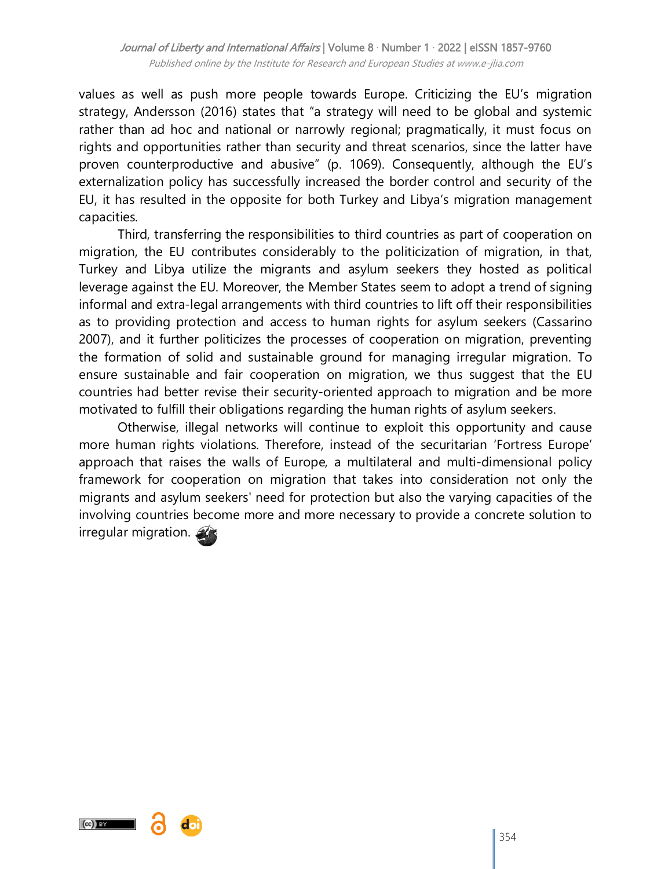values as well as push more people towards Europe. Criticizing the EU's migration strategy, Andersson (2016) states that "a strategy will need to be global and systemic rather than ad hoc and national or narrowly regional; pragmatically, it must focus on rights and opportunities rather than security and threat scenarios, since the latter have proven counterproductive and abusive" (p. 1069). Consequently, although the EU's externalization policy has successfully increased the border control and security of the EU, it has resulted in the opposite for both Turkey and Libya's migration management capacities.

Third, transferring the responsibilities to third countries as part of cooperation on migration, the EU contributes considerably to the politicization of migration, in that, Turkey and Libya utilize the migrants and asylum seekers they hosted as political leverage against the EU. Moreover, the Member States seem to adopt a trend of signing informal and extra-legal arrangements with third countries to lift off their responsibilities as to providing protection and access to human rights for asylum seekers (Cassarino 2007), and it further politicizes the processes of cooperation on migration, preventing the formation of solid and sustainable ground for managing irregular migration. To ensure sustainable and fair cooperation on migration, we thus suggest that the EU countries had better revise their security-oriented approach to migration and be more motivated to fulfill their obligations regarding the human rights of asylum seekers.

Otherwise, illegal networks will continue to exploit this opportunity and cause more human rights violations. Therefore, instead of the securitarian 'Fortress Europe' approach that raises the walls of Europe, a multilateral and multi-dimensional policy framework for cooperation on migration that takes into consideration not only the migrants and asylum seekers' need for protection but also the varying capacities of the involving countries become more and more necessary to provide a concrete solution to irregular migration.

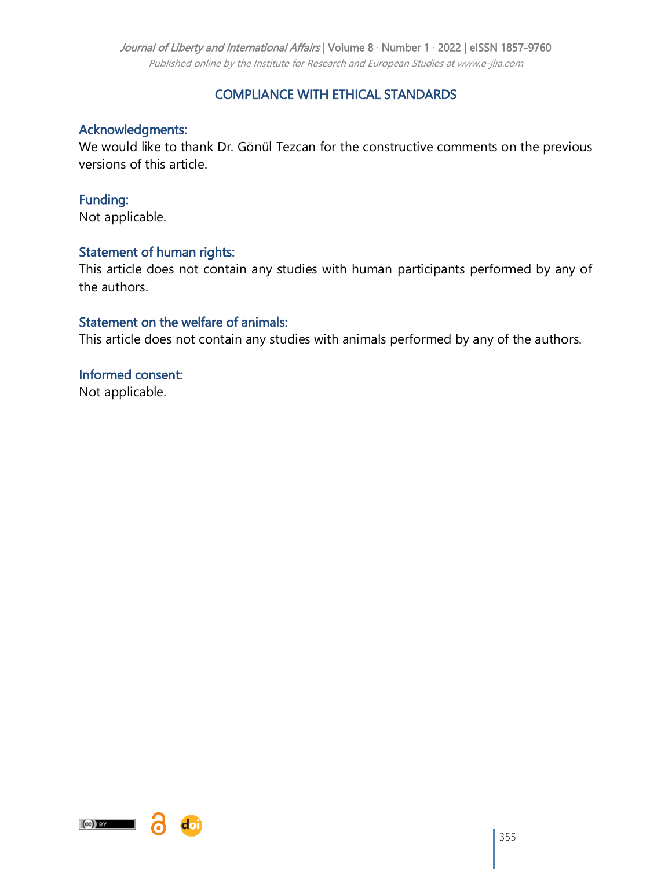#### Journal of Liberty and International Affairs | Volume 8 · Number 1 · 2022 | eISSN 1857-9760

Published online by the Institute for Research and European Studies at www.e-jlia.com

## COMPLIANCE WITH ETHICAL STANDARDS

## Acknowledgments:

We would like to thank Dr. Gönül Tezcan for the constructive comments on the previous versions of this article.

## Funding:

Not applicable.

#### Statement of human rights:

This article does not contain any studies with human participants performed by any of the authors.

#### Statement on the welfare of animals:

This article does not contain any studies with animals performed by any of the authors.

# Informed consent:

Not applicable.



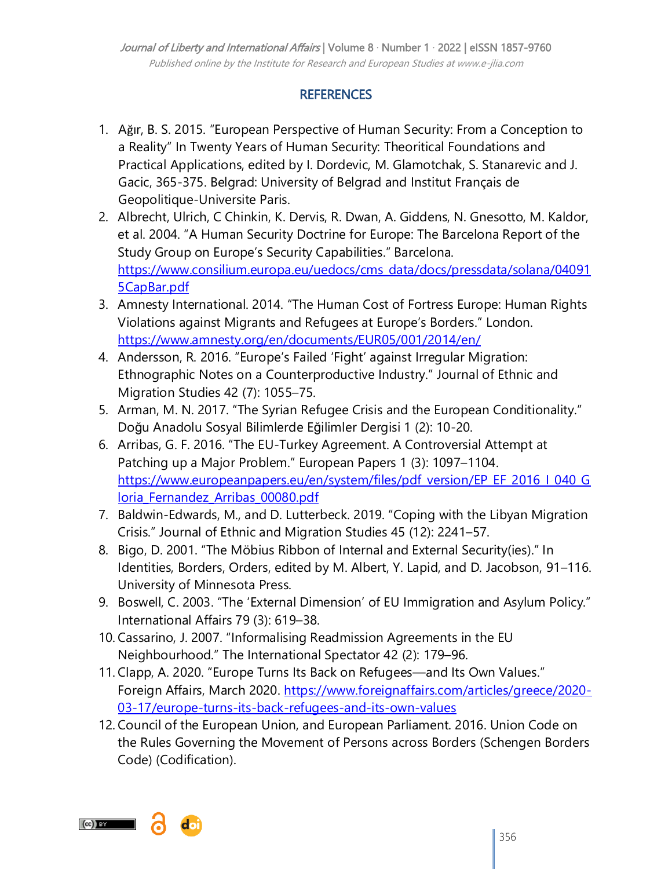# **REFERENCES**

- 1. Ağır, B. S. 2015. "European Perspective of Human Security: From a Conception to a Reality" In Twenty Years of Human Security: Theoritical Foundations and Practical Applications, edited by I. Dordevic, M. Glamotchak, S. Stanarevic and J. Gacic, 365-375. Belgrad: University of Belgrad and Institut Français de Geopolitique-Universite Paris.
- 2. Albrecht, Ulrich, C Chinkin, K. Dervis, R. Dwan, A. Giddens, N. Gnesotto, M. Kaldor, et al. 2004. "A Human Security Doctrine for Europe: The Barcelona Report of the Study Group on Europe's Security Capabilities." Barcelona. [https://www.consilium.europa.eu/uedocs/cms\\_data/docs/pressdata/solana/04091](https://www.consilium.europa.eu/uedocs/cms_data/docs/pressdata/solana/040915CapBar.pdf) [5CapBar.pdf](https://www.consilium.europa.eu/uedocs/cms_data/docs/pressdata/solana/040915CapBar.pdf)
- 3. Amnesty International. 2014. "The Human Cost of Fortress Europe: Human Rights Violations against Migrants and Refugees at Europe's Borders." London. <https://www.amnesty.org/en/documents/EUR05/001/2014/en/>
- 4. Andersson, R. 2016. "Europe's Failed 'Fight' against Irregular Migration: Ethnographic Notes on a Counterproductive Industry." Journal of Ethnic and Migration Studies 42 (7): 1055–75.
- 5. Arman, M. N. 2017. "The Syrian Refugee Crisis and the European Conditionality." Doğu Anadolu Sosyal Bilimlerde Eğilimler Dergisi 1 (2): 10-20.
- 6. Arribas, G. F. 2016. "The EU-Turkey Agreement. A Controversial Attempt at Patching up a Major Problem." European Papers 1 (3): 1097-1104. [https://www.europeanpapers.eu/en/system/files/pdf\\_version/EP\\_EF\\_2016\\_I\\_040\\_G](https://www.europeanpapers.eu/en/system/files/pdf_version/EP_EF_2016_I_040_Gloria_Fernandez_Arribas_00080.pdf) [loria\\_Fernandez\\_Arribas\\_00080.pdf](https://www.europeanpapers.eu/en/system/files/pdf_version/EP_EF_2016_I_040_Gloria_Fernandez_Arribas_00080.pdf)
- 7. Baldwin-Edwards, M., and D. Lutterbeck. 2019. "Coping with the Libyan Migration Crisis.‖ Journal of Ethnic and Migration Studies 45 (12): 2241–57.
- 8. Bigo, D. 2001. "The Möbius Ribbon of Internal and External Security(ies)." In Identities, Borders, Orders, edited by M. Albert, Y. Lapid, and D. Jacobson, 91–116. University of Minnesota Press.
- 9. Boswell, C. 2003. "The 'External Dimension' of EU Immigration and Asylum Policy." International Affairs 79 (3): 619–38.
- 10. Cassarino, J. 2007. "Informalising Readmission Agreements in the EU Neighbourhood.‖ The International Spectator 42 (2): 179–96.
- 11. Clapp, A. 2020. "Europe Turns Its Back on Refugees—and Its Own Values." Foreign Affairs, March 2020. [https://www.foreignaffairs.com/articles/greece/2020-](https://www.foreignaffairs.com/articles/greece/2020-03-17/europe-turns-its-back-refugees-and-its-own-values) [03-17/europe-turns-its-back-refugees-and-its-own-values](https://www.foreignaffairs.com/articles/greece/2020-03-17/europe-turns-its-back-refugees-and-its-own-values)
- 12. Council of the European Union, and European Parliament. 2016. Union Code on the Rules Governing the Movement of Persons across Borders (Schengen Borders Code) (Codification).

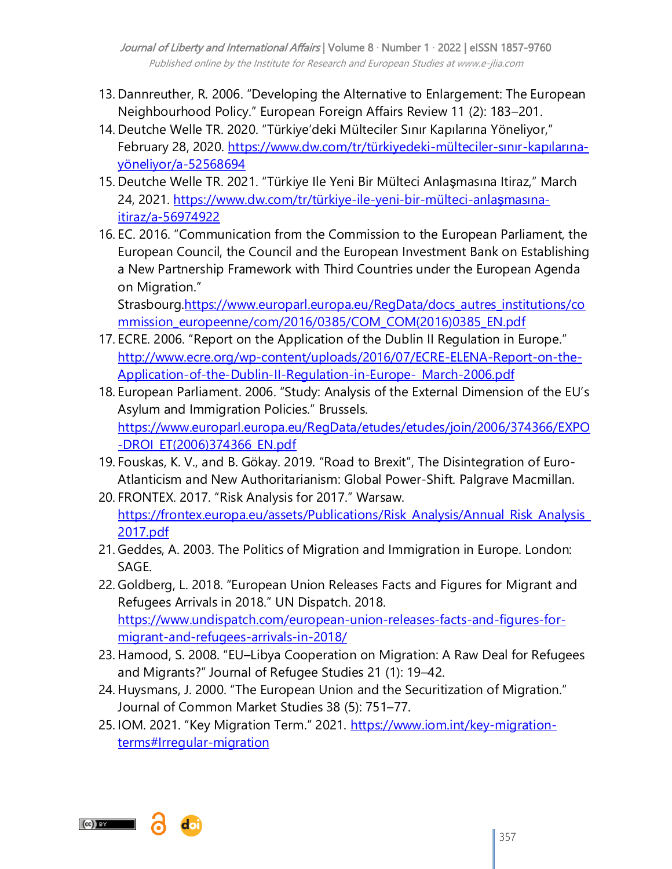- 13. Dannreuther, R. 2006. "Developing the Alternative to Enlargement: The European Neighbourhood Policy.‖ European Foreign Affairs Review 11 (2): 183–201.
- 14. Deutche Welle TR. 2020. "Türkiye'deki Mülteciler Sınır Kapılarına Yöneliyor," February 28, 2020. [https://www.dw.com/tr/türkiyedeki-mülteciler-](https://www.dw.com/tr/t�rkiyedeki-m�lteciler-s?n?r-kap?lar?na-y�neliyor/a-52568694)sınır-kapılarına[yöneliyor/a-52568694](https://www.dw.com/tr/t�rkiyedeki-m�lteciler-s?n?r-kap?lar?na-y�neliyor/a-52568694)
- 15. Deutche Welle TR. 2021. "Türkiye Ile Yeni Bir Mülteci Anlaşmasına Itiraz," March 24, 2021. [https://www.dw.com/tr/türkiye-ile-yeni-bir-mülteci-anla](https://www.dw.com/tr/t�rkiye-ile-yeni-bir-m�lteci-anla?mas?na-itiraz/a-56974922)şmasına[itiraz/a-56974922](https://www.dw.com/tr/t�rkiye-ile-yeni-bir-m�lteci-anla?mas?na-itiraz/a-56974922)
- 16. EC. 2016. "Communication from the Commission to the European Parliament, the European Council, the Council and the European Investment Bank on Establishing a New Partnership Framework with Third Countries under the European Agenda on Migration."

Strasbourg[.https://www.europarl.europa.eu/RegData/docs\\_autres\\_institutions/co](https://www.europarl.europa.eu/RegData/docs_autres_institutions/commission_europeenne/com/2016/0385/COM_COM(2016)0385_EN.pdf) [mmission\\_europeenne/com/2016/0385/COM\\_COM\(2016\)0385\\_EN.pdf](https://www.europarl.europa.eu/RegData/docs_autres_institutions/commission_europeenne/com/2016/0385/COM_COM(2016)0385_EN.pdf)

- 17. ECRE. 2006. "Report on the Application of the Dublin II Regulation in Europe." [http://www.ecre.org/wp-content/uploads/2016/07/ECRE-ELENA-Report-on-the-](http://www.ecre.org/wp-content/uploads/2016/07/ECRE-ELENA-Report-on-the-Application-of-the-Dublin-II-Regulation-in-Europe-_March-2006.pdf)[Application-of-the-Dublin-II-Regulation-in-Europe-\\_March-2006.pdf](http://www.ecre.org/wp-content/uploads/2016/07/ECRE-ELENA-Report-on-the-Application-of-the-Dublin-II-Regulation-in-Europe-_March-2006.pdf)
- 18. European Parliament. 2006. "Study: Analysis of the External Dimension of the EU's Asylum and Immigration Policies." Brussels. [https://www.europarl.europa.eu/RegData/etudes/etudes/join/2006/374366/EXPO](https://www.europarl.europa.eu/RegData/etudes/etudes/join/2006/374366/EXPO-DROI_ET(2006)374366_EN.pdf) [-DROI\\_ET\(2006\)374366\\_EN.pdf](https://www.europarl.europa.eu/RegData/etudes/etudes/join/2006/374366/EXPO-DROI_ET(2006)374366_EN.pdf)
- 19. Fouskas, K. V., and B. Gökay. 2019. "Road to Brexit", The Disintegration of Euro-Atlanticism and New Authoritarianism: Global Power-Shift. Palgrave Macmillan.
- 20. FRONTEX. 2017. "Risk Analysis for 2017." Warsaw. [https://frontex.europa.eu/assets/Publications/Risk\\_Analysis/Annual\\_Risk\\_Analysis\\_](https://frontex.europa.eu/assets/Publications/Risk_Analysis/Annual_Risk_Analysis_2017.pdf) [2017.pdf](https://frontex.europa.eu/assets/Publications/Risk_Analysis/Annual_Risk_Analysis_2017.pdf)
- 21. Geddes, A. 2003. The Politics of Migration and Immigration in Europe. London: SAGE.
- 22. Goldberg, L. 2018. "European Union Releases Facts and Figures for Migrant and Refugees Arrivals in 2018." UN Dispatch. 2018. [https://www.undispatch.com/european-union-releases-facts-and-figures-for](https://www.undispatch.com/european-union-releases-facts-and-figures-for-migrant-and-refugees-arrivals-in-2018/)[migrant-and-refugees-arrivals-in-2018/](https://www.undispatch.com/european-union-releases-facts-and-figures-for-migrant-and-refugees-arrivals-in-2018/)
- 23. Hamood, S. 2008. "EU-Libya Cooperation on Migration: A Raw Deal for Refugees and Migrants?‖ Journal of Refugee Studies 21 (1): 19–42.
- 24. Huysmans, J. 2000. "The European Union and the Securitization of Migration." Journal of Common Market Studies 38 (5): 751–77.
- 25. IOM. 2021. "Key Migration Term." 2021. [https://www.iom.int/key-migration](https://www.iom.int/key-migration-terms#Irregular-migration)[terms#Irregular-migration](https://www.iom.int/key-migration-terms#Irregular-migration)

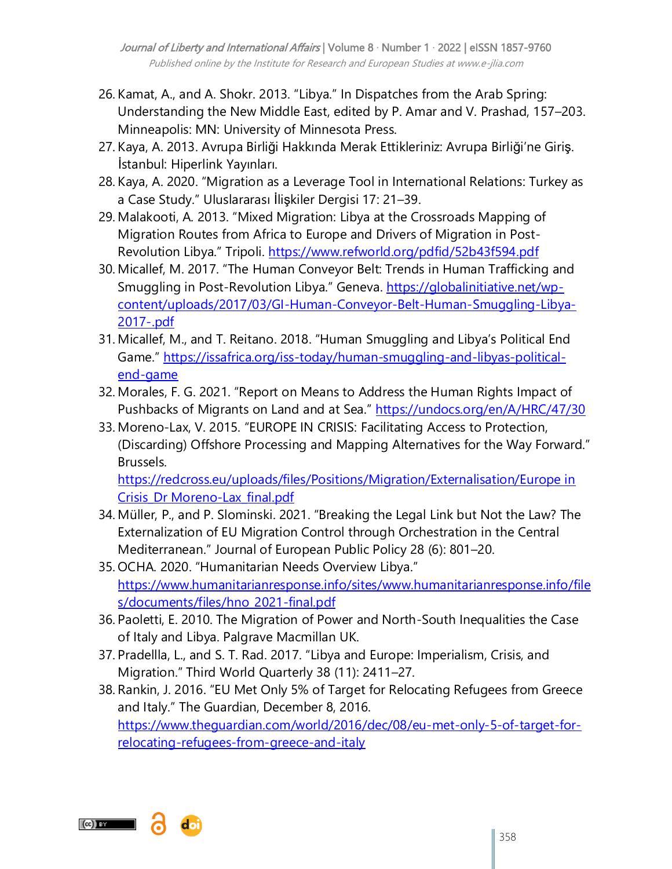- 26. Kamat, A., and A. Shokr. 2013. "Libya." In Dispatches from the Arab Spring: Understanding the New Middle East, edited by P. Amar and V. Prashad, 157–203. Minneapolis: MN: University of Minnesota Press.
- 27. Kaya, A. 2013. Avrupa Birliği Hakkında Merak Ettikleriniz: Avrupa Birliği'ne Giriş. İstanbul: Hiperlink Yayınları.
- 28. Kaya, A. 2020. "Migration as a Leverage Tool in International Relations: Turkey as a Case Study.‖ Uluslararası İlişkiler Dergisi 17: 21–39.
- 29. Malakooti, A. 2013. "Mixed Migration: Libya at the Crossroads Mapping of Migration Routes from Africa to Europe and Drivers of Migration in PostRevolution Libya." Tripoli. <https://www.refworld.org/pdfid/52b43f594.pdf>
- 30. Micallef, M. 2017. "The Human Conveyor Belt: Trends in Human Trafficking and Smuggling in Post-Revolution Libya." Geneva. [https://globalinitiative.net/wp](https://globalinitiative.net/wp-content/uploads/2017/03/GI-Human-Conveyor-Belt-Human-Smuggling-Libya-2017-.pdf)[content/uploads/2017/03/GI-Human-Conveyor-Belt-Human-Smuggling-Libya-](https://globalinitiative.net/wp-content/uploads/2017/03/GI-Human-Conveyor-Belt-Human-Smuggling-Libya-2017-.pdf)[2017-.pdf](https://globalinitiative.net/wp-content/uploads/2017/03/GI-Human-Conveyor-Belt-Human-Smuggling-Libya-2017-.pdf)
- 31. Micallef, M., and T. Reitano. 2018. "Human Smuggling and Libya's Political End Game." [https://issafrica.org/iss-today/human-smuggling-and-libyas-political](https://issafrica.org/iss-today/human-smuggling-and-libyas-political-end-game)[end-game](https://issafrica.org/iss-today/human-smuggling-and-libyas-political-end-game)
- 32. Morales, F. G. 2021. "Report on Means to Address the Human Rights Impact of Pushbacks of Migrants on Land and at Sea." <https://undocs.org/en/A/HRC/47/30>
- 33. Moreno-Lax, V. 2015. "EUROPE IN CRISIS: Facilitating Access to Protection, (Discarding) Offshore Processing and Mapping Alternatives for the Way Forward." Brussels.

[https://redcross.eu/uploads/files/Positions/Migration/Externalisation/Europe in](https://redcross.eu/uploads/files/Positions/Migration/Externalisation/Europe%20in%20Crisis_Dr%20Moreno-Lax_final.pdf)  [Crisis\\_Dr Moreno-Lax\\_final.pdf](https://redcross.eu/uploads/files/Positions/Migration/Externalisation/Europe%20in%20Crisis_Dr%20Moreno-Lax_final.pdf)

- 34. Müller, P., and P. Slominski. 2021. "Breaking the Legal Link but Not the Law? The Externalization of EU Migration Control through Orchestration in the Central Mediterranean.‖ Journal of European Public Policy 28 (6): 801–20.
- 35. OCHA. 2020. "Humanitarian Needs Overview Libya." [https://www.humanitarianresponse.info/sites/www.humanitarianresponse.info/file](https://www.humanitarianresponse.info/sites/www.humanitarianresponse.info/files/documents/files/hno_2021-final.pdf) [s/documents/files/hno\\_2021-final.pdf](https://www.humanitarianresponse.info/sites/www.humanitarianresponse.info/files/documents/files/hno_2021-final.pdf)
- 36. Paoletti, E. 2010. The Migration of Power and North-South Inequalities the Case of Italy and Libya. Palgrave Macmillan UK.
- 37. Pradellla, L., and S. T. Rad. 2017. "Libya and Europe: Imperialism, Crisis, and Migration.‖ Third World Quarterly 38 (11): 2411–27.
- 38. Rankin, J. 2016. "EU Met Only 5% of Target for Relocating Refugees from Greece and Italy." The Guardian, December 8, 2016. [https://www.theguardian.com/world/2016/dec/08/eu-met-only-5-of-target-for](https://www.theguardian.com/world/2016/dec/08/eu-met-only-5-of-target-for-relocating-refugees-from-greece-and-italy)[relocating-refugees-from-greece-and-italy](https://www.theguardian.com/world/2016/dec/08/eu-met-only-5-of-target-for-relocating-refugees-from-greece-and-italy)